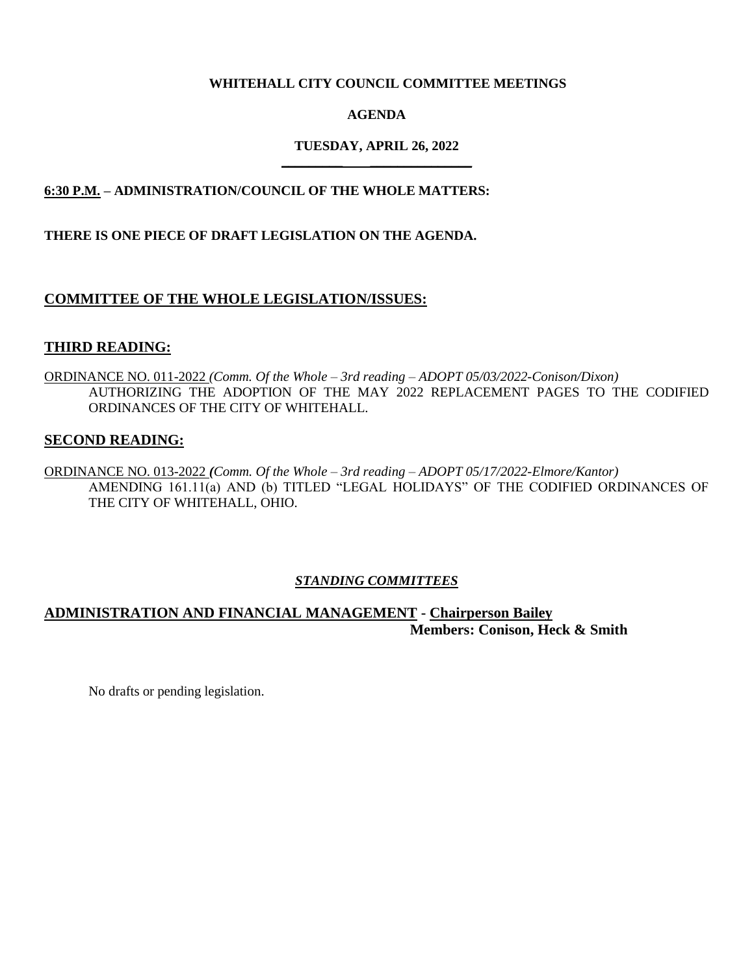## **WHITEHALL CITY COUNCIL COMMITTEE MEETINGS**

## **AGENDA**

### **TUESDAY, APRIL 26, 2022 \_\_\_\_\_\_\_\_\_ \_\_\_\_\_\_\_\_\_\_\_\_\_\_\_**

## **6:30 P.M. – ADMINISTRATION/COUNCIL OF THE WHOLE MATTERS:**

### **THERE IS ONE PIECE OF DRAFT LEGISLATION ON THE AGENDA.**

## **COMMITTEE OF THE WHOLE LEGISLATION/ISSUES:**

### **THIRD READING:**

ORDINANCE NO. 011-2022 *(Comm. Of the Whole – 3rd reading – ADOPT 05/03/2022-Conison/Dixon)* AUTHORIZING THE ADOPTION OF THE MAY 2022 REPLACEMENT PAGES TO THE CODIFIED ORDINANCES OF THE CITY OF WHITEHALL.

### **SECOND READING:**

ORDINANCE NO. 013-2022 *(Comm. Of the Whole – 3rd reading – ADOPT 05/17/2022-Elmore/Kantor)* AMENDING 161.11(a) AND (b) TITLED "LEGAL HOLIDAYS" OF THE CODIFIED ORDINANCES OF THE CITY OF WHITEHALL, OHIO.

### *STANDING COMMITTEES*

## **ADMINISTRATION AND FINANCIAL MANAGEMENT - Chairperson Bailey Members: Conison, Heck & Smith**

No drafts or pending legislation.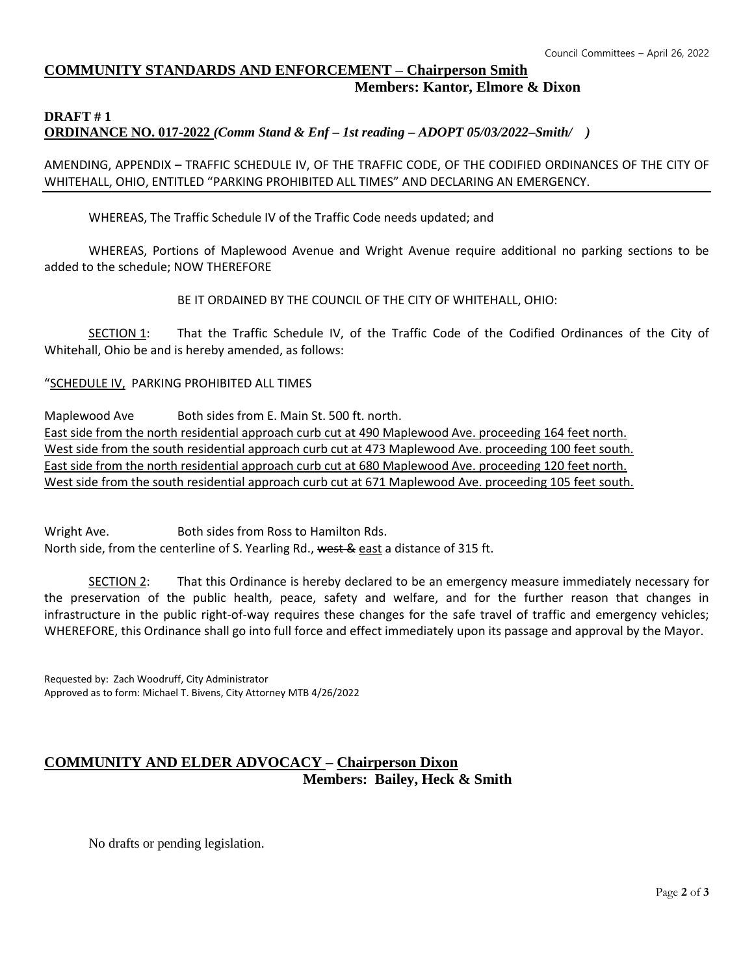## **COMMUNITY STANDARDS AND ENFORCEMENT – Chairperson Smith Members: Kantor, Elmore & Dixon**

#### **DRAFT # 1 ORDINANCE NO. 017-2022** *(Comm Stand & Enf – 1st reading – ADOPT 05/03/2022–Smith/ )*

AMENDING, APPENDIX – TRAFFIC SCHEDULE IV, OF THE TRAFFIC CODE, OF THE CODIFIED ORDINANCES OF THE CITY OF WHITEHALL, OHIO, ENTITLED "PARKING PROHIBITED ALL TIMES" AND DECLARING AN EMERGENCY.

WHEREAS, The Traffic Schedule IV of the Traffic Code needs updated; and

WHEREAS, Portions of Maplewood Avenue and Wright Avenue require additional no parking sections to be added to the schedule; NOW THEREFORE

BE IT ORDAINED BY THE COUNCIL OF THE CITY OF WHITEHALL, OHIO:

SECTION 1: That the Traffic Schedule IV, of the Traffic Code of the Codified Ordinances of the City of Whitehall, Ohio be and is hereby amended, as follows:

"SCHEDULE IV, PARKING PROHIBITED ALL TIMES

Maplewood Ave Both sides from E. Main St. 500 ft. north. East side from the north residential approach curb cut at 490 Maplewood Ave. proceeding 164 feet north. West side from the south residential approach curb cut at 473 Maplewood Ave. proceeding 100 feet south. East side from the north residential approach curb cut at 680 Maplewood Ave. proceeding 120 feet north. West side from the south residential approach curb cut at 671 Maplewood Ave. proceeding 105 feet south.

Wright Ave. Both sides from Ross to Hamilton Rds. North side, from the centerline of S. Yearling Rd., west & east a distance of 315 ft.

SECTION 2: That this Ordinance is hereby declared to be an emergency measure immediately necessary for the preservation of the public health, peace, safety and welfare, and for the further reason that changes in infrastructure in the public right-of-way requires these changes for the safe travel of traffic and emergency vehicles; WHEREFORE, this Ordinance shall go into full force and effect immediately upon its passage and approval by the Mayor.

Requested by: Zach Woodruff, City Administrator Approved as to form: Michael T. Bivens, City Attorney MTB 4/26/2022

# **COMMUNITY AND ELDER ADVOCACY – Chairperson Dixon Members: Bailey, Heck & Smith**

No drafts or pending legislation.